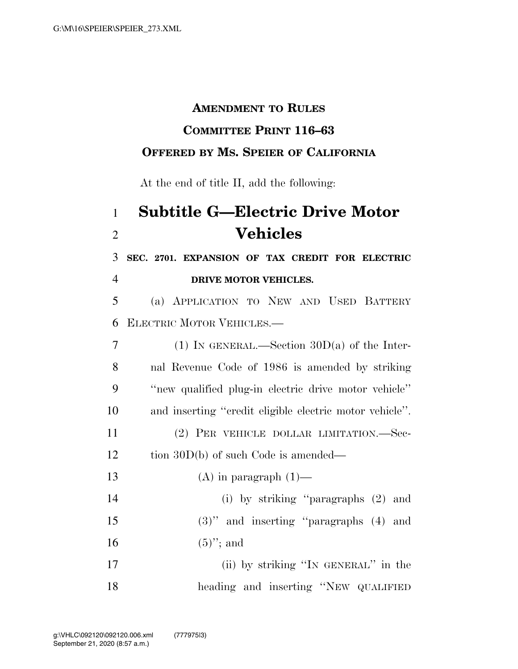#### **AMENDMENT TO RULES**

#### **COMMITTEE PRINT 116–63**

### **OFFERED BY MS. SPEIER OF CALIFORNIA**

At the end of title II, add the following:

# 1 **Subtitle G—Electric Drive Motor**  2 **Vehicles**

3 **SEC. 2701. EXPANSION OF TAX CREDIT FOR ELECTRIC**  4 **DRIVE MOTOR VEHICLES.** 

5 (a) APPLICATION TO NEW AND USED BATTERY 6 ELECTRIC MOTOR VEHICLES.—

 (1) IN GENERAL.—Section 30D(a) of the Inter- nal Revenue Code of 1986 is amended by striking ''new qualified plug-in electric drive motor vehicle'' and inserting ''credit eligible electric motor vehicle''. (2) PER VEHICLE DOLLAR LIMITATION.—Sec-12 tion 30D(b) of such Code is amended—  $(A)$  in paragraph  $(1)$ — (i) by striking ''paragraphs (2) and

15 (3)'' and inserting ''paragraphs (4) and 16 (5)"; and

17 (ii) by striking ''IN GENERAL'' in the 18 heading and inserting ''NEW QUALIFIED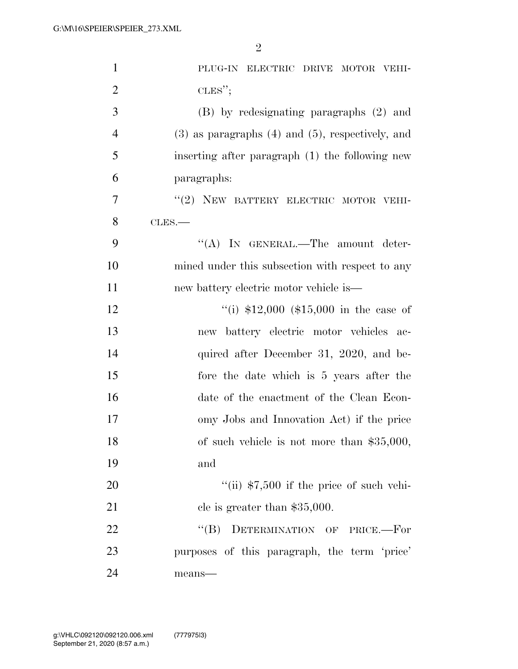| $\mathbf{1}$   | PLUG-IN ELECTRIC DRIVE MOTOR VEHI-                      |
|----------------|---------------------------------------------------------|
| $\overline{2}$ | CLES";                                                  |
| 3              | (B) by redesignating paragraphs (2) and                 |
| $\overline{4}$ | $(3)$ as paragraphs $(4)$ and $(5)$ , respectively, and |
| 5              | inserting after paragraph (1) the following new         |
| 6              | paragraphs:                                             |
| $\tau$         | "(2) NEW BATTERY ELECTRIC MOTOR VEHI-                   |
| 8              | CLES.                                                   |
| 9              | "(A) IN GENERAL.—The amount deter-                      |
| 10             | mined under this subsection with respect to any         |
| 11             | new battery electric motor vehicle is—                  |
| 12             | "(i) $$12,000$ (\$15,000 in the case of                 |
| 13             | new battery electric motor vehicles ac-                 |
| 14             | quired after December 31, 2020, and be-                 |
| 15             | fore the date which is 5 years after the                |
| 16             | date of the enactment of the Clean Econ-                |
| 17             | omy Jobs and Innovation Act) if the price               |
| 18             | of such vehicle is not more than $$35,000$ ,            |
| 19             | and                                                     |
| 20             | "(ii) $$7,500$ if the price of such vehi-               |
| 21             | cle is greater than $$35,000$ .                         |
| 22             | "(B) DETERMINATION OF PRICE.-For                        |
| 23             | purposes of this paragraph, the term 'price'            |
| 24             | means-                                                  |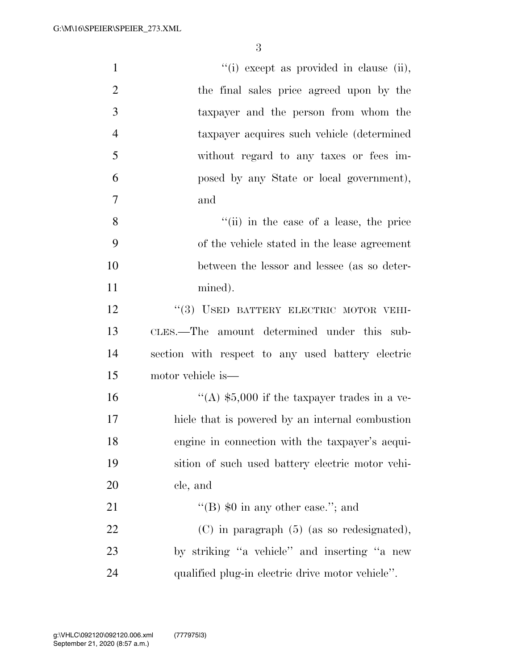| $\mathbf{1}$   | "(i) except as provided in clause (ii),           |
|----------------|---------------------------------------------------|
| $\overline{2}$ | the final sales price agreed upon by the          |
| 3              | taxpayer and the person from whom the             |
| $\overline{4}$ | taxpayer acquires such vehicle (determined        |
| 5              | without regard to any taxes or fees im-           |
| 6              | posed by any State or local government),          |
| $\tau$         | and                                               |
| 8              | "(ii) in the case of a lease, the price           |
| 9              | of the vehicle stated in the lease agreement      |
| 10             | between the lessor and lessee (as so deter-       |
| 11             | mined).                                           |
| 12             | "(3) USED BATTERY ELECTRIC MOTOR VEHI-            |
| 13             | CLES.—The amount determined under this sub-       |
| 14             | section with respect to any used battery electric |
| 15             | motor vehicle is—                                 |
| 16             | "(A) $$5,000$ if the taxpayer trades in a ve-     |
| 17             | hicle that is powered by an internal combustion   |
| 18             | engine in connection with the taxpayer's acqui-   |
| 19             | sition of such used battery electric motor vehi-  |
| 20             | cle, and                                          |
| 21             | "(B) $\text{\$0 in any other case."}$ ; and       |
| 22             | $(C)$ in paragraph $(5)$ (as so redesignated),    |
| 23             | by striking "a vehicle" and inserting "a new      |
| 24             | qualified plug-in electric drive motor vehicle".  |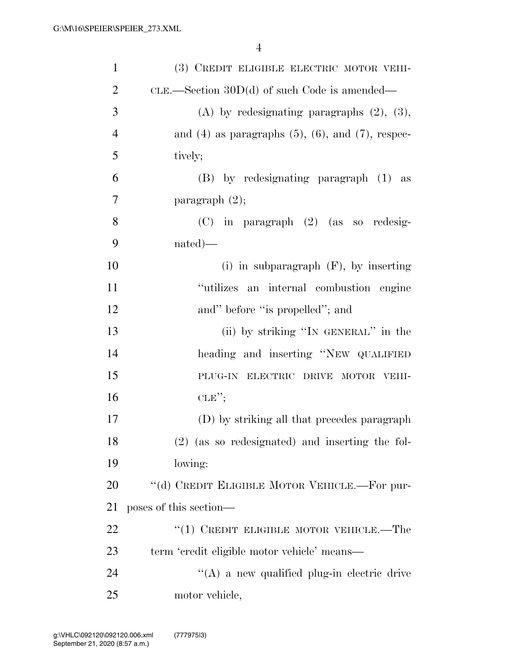| $\mathbf{1}$   | (3) CREDIT ELIGIBLE ELECTRIC MOTOR VEHI-                    |
|----------------|-------------------------------------------------------------|
| $\overline{2}$ | CLE.—Section $30D(d)$ of such Code is amended—              |
| 3              | (A) by redesignating paragraphs $(2)$ , $(3)$ ,             |
| $\overline{4}$ | and $(4)$ as paragraphs $(5)$ , $(6)$ , and $(7)$ , respec- |
| 5              | tively;                                                     |
| 6              | (B) by redesignating paragraph (1) as                       |
| 7              | paragraph $(2)$ ;                                           |
| 8              | $(C)$ in paragraph $(2)$ (as so redesig-                    |
| 9              | $nated)$ —                                                  |
| 10             | (i) in subparagraph $(F)$ , by inserting                    |
| 11             | "utilizes an internal combustion engine                     |
| 12             | and" before "is propelled"; and                             |
| 13             | (ii) by striking "IN GENERAL" in the                        |
| 14             | heading and inserting "NEW QUALIFIED                        |
| 15             | PLUG-IN ELECTRIC DRIVE MOTOR VEHI-                          |
| 16             | CLE''                                                       |
| 17             | (D) by striking all that precedes paragraph                 |
| 18             | $(2)$ (as so redesignated) and inserting the fol-           |
| 19             | lowing:                                                     |
| 20             | "(d) CREDIT ELIGIBLE MOTOR VEHICLE.—For pur-                |
| 21             | poses of this section—                                      |
| 22             | "(1) CREDIT ELIGIBLE MOTOR VEHICLE.—The                     |
| 23             | term 'credit eligible motor vehicle' means—                 |
| 24             | $\lq\lq$ a new qualified plug-in electric drive             |
| 25             | motor vehicle,                                              |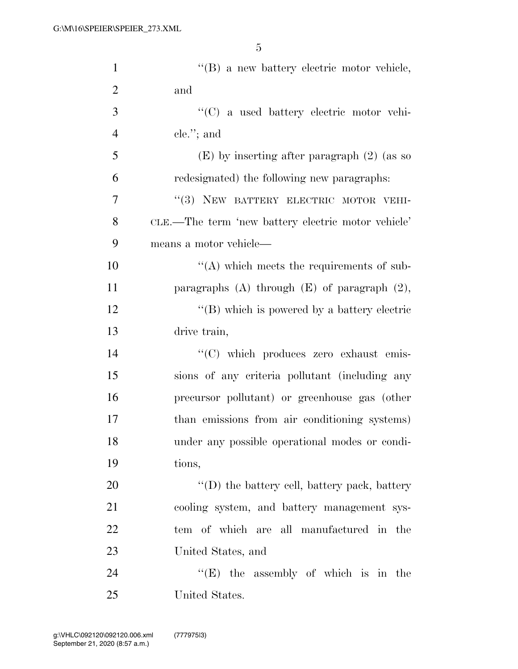| $\mathbf{1}$   | $\lq\lq (B)$ a new battery electric motor vehicle,  |
|----------------|-----------------------------------------------------|
| $\overline{2}$ | and                                                 |
| 3              | "(C) a used battery electric motor vehi-            |
| $\overline{4}$ | $ele.'$ ; and                                       |
| 5              | $(E)$ by inserting after paragraph $(2)$ (as so     |
| 6              | redesignated) the following new paragraphs:         |
| 7              | "(3) NEW BATTERY ELECTRIC MOTOR VEHI-               |
| 8              | CLE.—The term 'new battery electric motor vehicle'  |
| 9              | means a motor vehicle—                              |
| 10             | $\lq\lq$ which meets the requirements of sub-       |
| 11             | paragraphs $(A)$ through $(E)$ of paragraph $(2)$ , |
| 12             | $\lq\lq$ (B) which is powered by a battery electric |
| 13             | drive train,                                        |
| 14             | "(C) which produces zero exhaust emis-              |
| 15             | sions of any criteria pollutant (including any      |
| 16             | precursor pollutant) or greenhouse gas (other       |
| 17             | than emissions from air conditioning systems)       |
| 18             | under any possible operational modes or condi-      |
| 19             | tions,                                              |
| 20             | $\lq\lq$ the battery cell, battery pack, battery    |
| 21             | cooling system, and battery management sys-         |
| 22             | tem of which are all manufactured in the            |
| 23             | United States, and                                  |
| 24             | " $(E)$ the assembly of which is in the             |
| 25             | United States.                                      |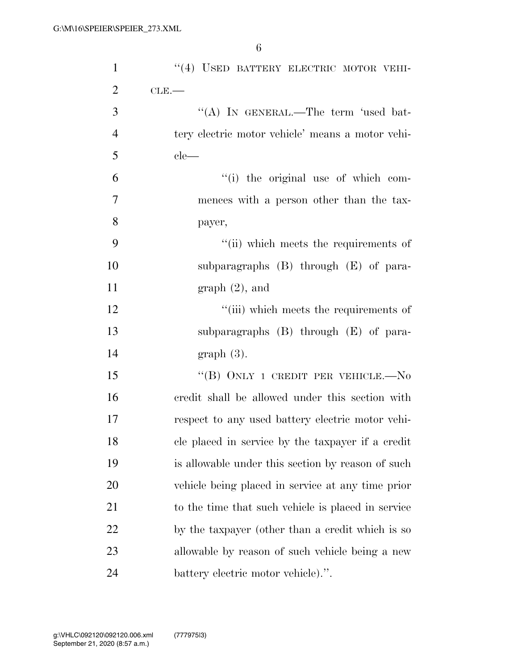| $\mathbf{1}$   | "(4) USED BATTERY ELECTRIC MOTOR VEHI-             |
|----------------|----------------------------------------------------|
| $\overline{2}$ | $CLE$ .                                            |
| 3              | "(A) IN GENERAL.—The term 'used bat-               |
| $\overline{4}$ | tery electric motor vehicle' means a motor vehi-   |
| 5              | $ele-$                                             |
| 6              | "(i) the original use of which com-                |
| $\tau$         | mences with a person other than the tax-           |
| 8              | payer,                                             |
| 9              | "(ii) which meets the requirements of              |
| 10             | subparagraphs $(B)$ through $(E)$ of para-         |
| 11             | $graph(2)$ , and                                   |
| 12             | "(iii) which meets the requirements of             |
| 13             | subparagraphs $(B)$ through $(E)$ of para-         |
| 14             | $graph(3)$ .                                       |
| 15             | "(B) ONLY 1 CREDIT PER VEHICLE.— $No$              |
| 16             | credit shall be allowed under this section with    |
| 17             | respect to any used battery electric motor vehi-   |
| 18             | cle placed in service by the taxpayer if a credit  |
| 19             | is allowable under this section by reason of such  |
| 20             | vehicle being placed in service at any time prior  |
| 21             | to the time that such vehicle is placed in service |
| 22             | by the taxpayer (other than a credit which is so   |
| 23             | allowable by reason of such vehicle being a new    |
| 24             | battery electric motor vehicle).".                 |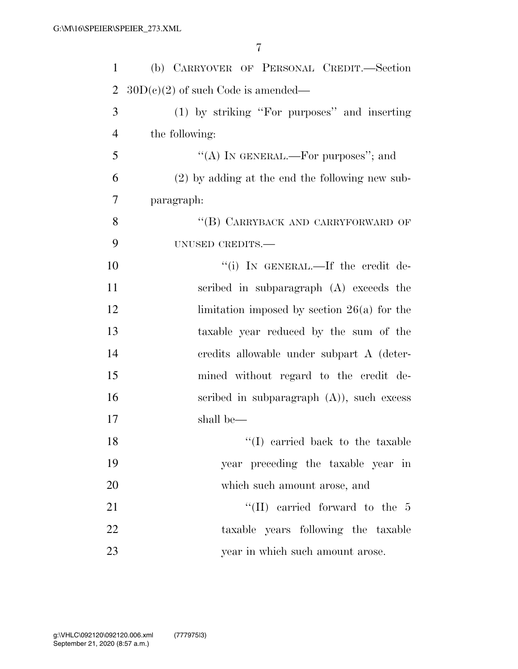| $\mathbf{1}$   | (b) CARRYOVER OF PERSONAL CREDIT.-Section         |
|----------------|---------------------------------------------------|
| $\overline{2}$ | $30D(c)(2)$ of such Code is amended—              |
| 3              | (1) by striking "For purposes" and inserting      |
| $\overline{4}$ | the following:                                    |
| 5              | "(A) IN GENERAL.—For purposes"; and               |
| 6              | $(2)$ by adding at the end the following new sub- |
| 7              | paragraph:                                        |
| 8              | "(B) CARRYBACK AND CARRYFORWARD OF                |
| 9              | UNUSED CREDITS.-                                  |
| 10             | "(i) IN GENERAL.—If the credit de-                |
| 11             | scribed in subparagraph (A) exceeds the           |
| 12             | limitation imposed by section $26(a)$ for the     |
| 13             | taxable year reduced by the sum of the            |
| 14             | credits allowable under subpart A (deter-         |
| 15             | mined without regard to the credit de-            |
| 16             | scribed in subparagraph $(A)$ ), such excess      |
| 17             | shall be—                                         |
| 18             | $\lq (I)$ carried back to the taxable             |
| 19             | year preceding the taxable year in                |
| 20             | which such amount arose, and                      |
| 21             | "(II) carried forward to the $5$                  |
| 22             | taxable years following the taxable               |
| 23             | year in which such amount arose.                  |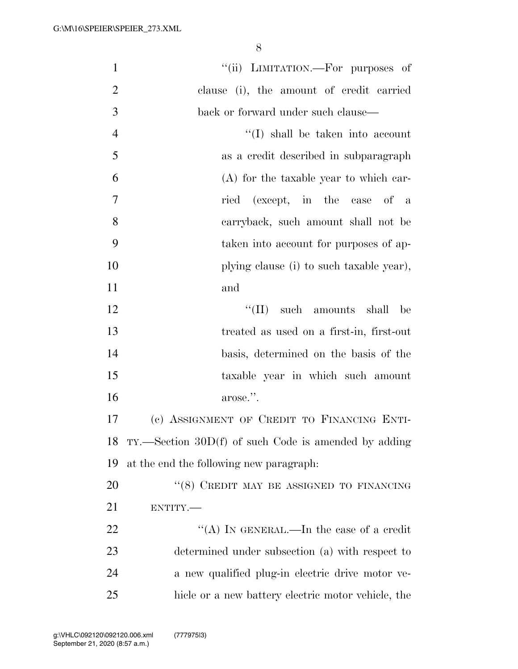| $\mathbf{1}$   | "(ii) LIMITATION.—For purposes of                      |
|----------------|--------------------------------------------------------|
| $\overline{2}$ | clause (i), the amount of credit carried               |
| 3              | back or forward under such clause—                     |
| $\overline{4}$ | "(I) shall be taken into account                       |
| 5              | as a credit described in subparagraph                  |
| 6              | (A) for the taxable year to which car-                 |
| $\overline{7}$ | ried (except, in the case of a                         |
| 8              | carryback, such amount shall not be                    |
| 9              | taken into account for purposes of ap-                 |
| 10             | plying clause (i) to such taxable year),               |
| 11             | and                                                    |
| 12             | $\lq\lq$ (II) such amounts shall<br>be                 |
| 13             | treated as used on a first-in, first-out               |
| 14             | basis, determined on the basis of the                  |
| 15             | taxable year in which such amount                      |
| 16             | arose.".                                               |
| 17             | (c) ASSIGNMENT OF CREDIT TO FINANCING ENTI-            |
| 18             | $TY.$ Section 30D(f) of such Code is amended by adding |
| 19             | at the end the following new paragraph.                |
| 20             | $``(8)$ CREDIT MAY BE ASSIGNED TO FINANCING            |
| 21             | ENTITY.                                                |
| <u>22</u>      | "(A) IN GENERAL.—In the case of a credit               |
| 23             | determined under subsection (a) with respect to        |
| 24             | a new qualified plug-in electric drive motor ve-       |
| 25             | hicle or a new battery electric motor vehicle, the     |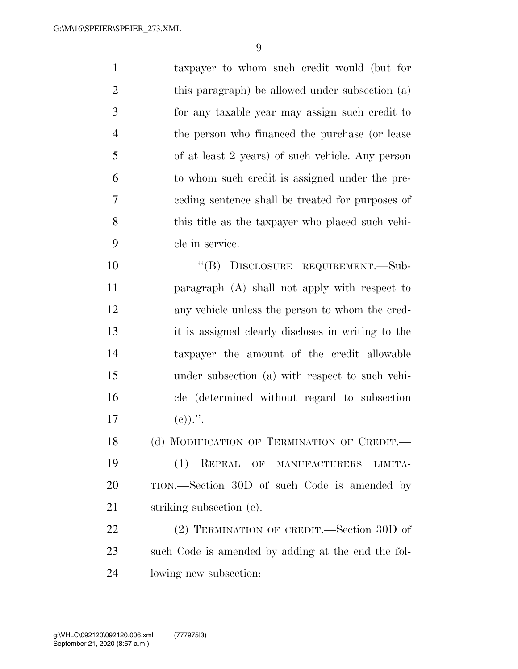taxpayer to whom such credit would (but for this paragraph) be allowed under subsection (a) for any taxable year may assign such credit to the person who financed the purchase (or lease of at least 2 years) of such vehicle. Any person to whom such credit is assigned under the pre- ceding sentence shall be treated for purposes of this title as the taxpayer who placed such vehi-cle in service.

10 "(B) DISCLOSURE REQUIREMENT.—Sub- paragraph (A) shall not apply with respect to any vehicle unless the person to whom the cred- it is assigned clearly discloses in writing to the taxpayer the amount of the credit allowable under subsection (a) with respect to such vehi- cle (determined without regard to subsection 17 (e)).".

18 (d) MODIFICATION OF TERMINATION OF CREDIT. (1) REPEAL OF MANUFACTURERS LIMITA-

 TION.—Section 30D of such Code is amended by striking subsection (e).

22 (2) TERMINATION OF CREDIT.—Section 30D of such Code is amended by adding at the end the fol-lowing new subsection: